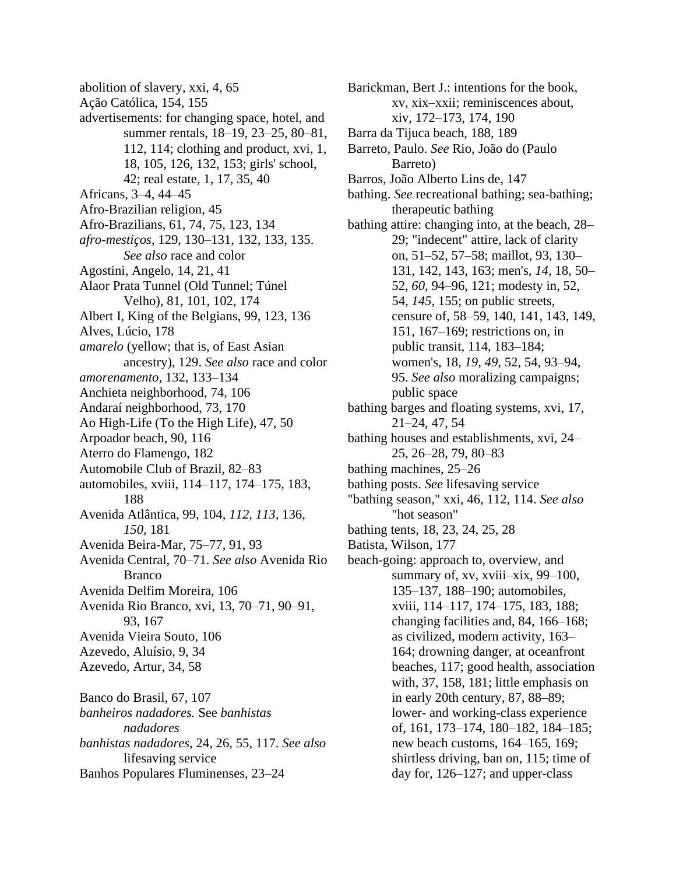- abolition of slavery, xxi, 4, 65
- Ação Católica, 154, 155
- advertisements: for changing space, hotel, and summer rentals, 18–19, 23–25, 80–81, 112, 114; clothing and product, xvi, 1, 18, 105, 126, 132, 153; girls' school, 42; real estate, 1, 17, 35, 40
- Africans, 3–4, 44–45
- Afro-Brazilian religion, 45
- Afro-Brazilians, 61, 74, 75, 123, 134
- *afro-mestiços,* 129, 130–131, 132, 133, 135. *See also* race and color
- Agostini, Angelo, 14, 21, 41
- Alaor Prata Tunnel (Old Tunnel; Túnel Velho), 81, 101, 102, 174
- Albert I, King of the Belgians, 99, 123, 136
- Alves, Lúcio, 178
- *amarelo* (yellow; that is, of East Asian ancestry), 129. *See also* race and color
- *amorenamento,* 132, 133–134
- Anchieta neighborhood, 74, 106
- Andaraí neighborhood, 73, 170
- Ao High-Life (To the High Life), 47, 50
- Arpoador beach, 90, 116
- Aterro do Flamengo, 182
- Automobile Club of Brazil, 82–83
- automobiles, xviii, 114–117, 174–175, 183, 188
- Avenida Atlântica, 99, 104, *112, 113,* 136, *150,* 181
- Avenida Beira-Mar, 75–77, 91, 93
- Avenida Central, 70–71. *See also* Avenida Rio Branco
- Avenida Delfim Moreira, 106
- Avenida Rio Branco, xvi, 13, 70–71, 90–91, 93, 167 Avenida Vieira Souto, 106
- Azevedo, Aluísio, 9, 34
- Azevedo, Artur, 34, 58

Banco do Brasil, 67, 107 *banheiros nadadores.* See *banhistas nadadores banhistas nadadores,* 24, 26, 55, 117. *See also* lifesaving service Banhos Populares Fluminenses, 23–24

- Barickman, Bert J.: intentions for the book, xv, xix–xxii; reminiscences about, xiv, 172–173, 174, 190
- Barra da Tijuca beach, 188, 189
- Barreto, Paulo. *See* Rio, João do (Paulo Barreto)
- Barros, João Alberto Lins de, 147
- bathing. *See* recreational bathing; sea-bathing; therapeutic bathing
- bathing attire: changing into, at the beach, 28– 29; "indecent" attire, lack of clarity on, 51–52, 57–58; maillot, 93, 130– 131, 142, 143, 163; men's, *14,* 18, 50– 52, *60,* 94–96, 121; modesty in, 52, 54, *145,* 155; on public streets, censure of, 58–59, 140, 141, 143, 149, 151, 167–169; restrictions on, in public transit, 114, 183–184; women's, 18, *19, 49,* 52, 54, 93–94, 95. *See also* moralizing campaigns; public space
- bathing barges and floating systems, xvi, 17, 21–24, 47, 54
- bathing houses and establishments, xvi, 24– 25, 26–28, 79, 80–83
- bathing machines, 25–26
- bathing posts. *See* lifesaving service
- "bathing season," xxi, 46, 112, 114. *See also* "hot season"
- bathing tents, 18, 23, 24, 25, 28
- Batista, Wilson, 177
- beach-going: approach to, overview, and summary of, xv, xviii–xix, 99–100, 135–137, 188–190; automobiles, xviii, 114–117, 174–175, 183, 188; changing facilities and, 84, 166–168; as civilized, modern activity, 163– 164; drowning danger, at oceanfront beaches, 117; good health, association with, 37, 158, 181; little emphasis on in early 20th century, 87, 88–89; lower- and working-class experience of, 161, 173–174, 180–182, 184–185; new beach customs, 164–165, 169; shirtless driving, ban on, 115; time of day for, 126–127; and upper-class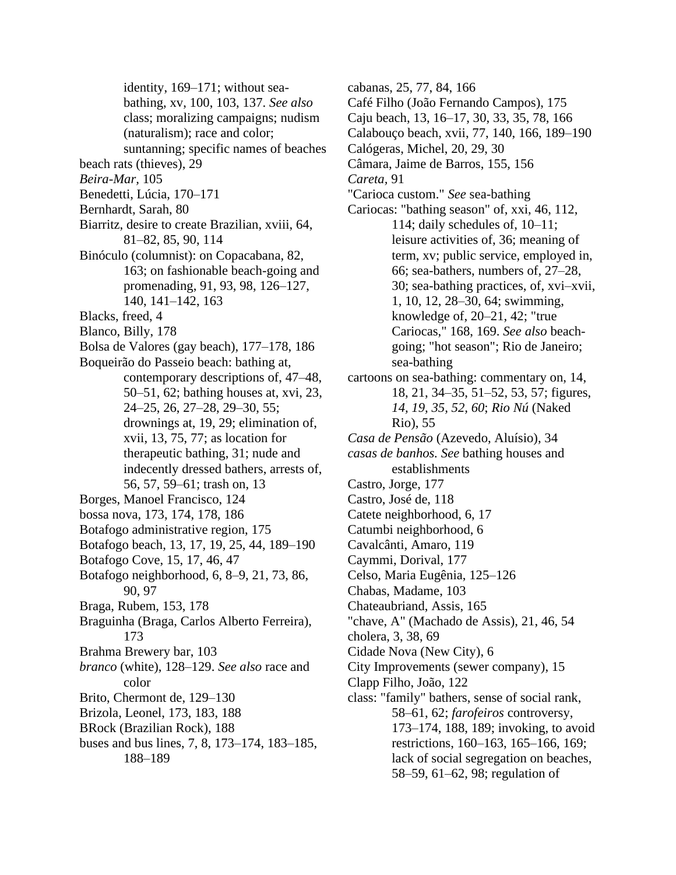identity, 169–171; without seabathing, xv, 100, 103, 137. *See also* class; moralizing campaigns; nudism (naturalism); race and color;

suntanning; specific names of beaches

- beach rats (thieves), 29
- *Beira-Mar,* 105
- Benedetti, Lúcia, 170–171
- Bernhardt, Sarah, 80
- Biarritz, desire to create Brazilian, xviii, 64, 81–82, 85, 90, 114
- Binóculo (columnist): on Copacabana, 82, 163; on fashionable beach-going and promenading, 91, 93, 98, 126–127, 140, 141–142, 163
- Blacks, freed, 4
- Blanco, Billy, 178
- Bolsa de Valores (gay beach), 177–178, 186
- Boqueirão do Passeio beach: bathing at, contemporary descriptions of, 47–48, 50–51, 62; bathing houses at, xvi, 23, 24–25, 26, 27–28, 29–30, 55; drownings at, 19, 29; elimination of, xvii, 13, 75, 77; as location for therapeutic bathing, 31; nude and indecently dressed bathers, arrests of, 56, 57, 59–61; trash on, 13
- Borges, Manoel Francisco, 124
- bossa nova, 173, 174, 178, 186
- Botafogo administrative region, 175
- Botafogo beach, 13, 17, 19, 25, 44, 189–190
- Botafogo Cove, 15, 17, 46, 47
- Botafogo neighborhood, 6, 8–9, 21, 73, 86, 90, 97
- Braga, Rubem, 153, 178
- Braguinha (Braga, Carlos Alberto Ferreira), 173
- Brahma Brewery bar, 103
- *branco* (white), 128–129. *See also* race and color
- Brito, Chermont de, 129–130
- Brizola, Leonel, 173, 183, 188
- BRock (Brazilian Rock), 188
- buses and bus lines, 7, 8, 173–174, 183–185, 188–189

cabanas, 25, 77, 84, 166 Café Filho (João Fernando Campos), 175 Caju beach, 13, 16–17, 30, 33, 35, 78, 166 Calabouço beach, xvii, 77, 140, 166, 189–190 Calógeras, Michel, 20, 29, 30 Câmara, Jaime de Barros, 155, 156 *Careta,* 91 "Carioca custom." *See* sea-bathing Cariocas: "bathing season" of, xxi, 46, 112, 114; daily schedules of, 10–11; leisure activities of, 36; meaning of term, xv; public service, employed in, 66; sea-bathers, numbers of, 27–28, 30; sea-bathing practices, of, xvi–xvii, 1, 10, 12, 28–30, 64; swimming, knowledge of, 20–21, 42; "true Cariocas," 168, 169. *See also* beachgoing; "hot season"; Rio de Janeiro; sea-bathing cartoons on sea-bathing: commentary on, 14, 18, 21, 34–35, 51–52, 53, 57; figures, *14, 19, 35, 52, 60*; *Rio Nú* (Naked Rio), 55 *Casa de Pensão* (Azevedo, Aluísio), 34 *casas de banhos. See* bathing houses and establishments Castro, Jorge, 177 Castro, José de, 118 Catete neighborhood, 6, 17 Catumbi neighborhood, 6 Cavalcânti, Amaro, 119 Caymmi, Dorival, 177 Celso, Maria Eugênia, 125–126 Chabas, Madame, 103 Chateaubriand, Assis, 165 "chave, A" (Machado de Assis), 21, 46, 54 cholera, 3, 38, 69 Cidade Nova (New City), 6 City Improvements (sewer company), 15 Clapp Filho, João, 122

class: "family" bathers, sense of social rank, 58–61, 62; *farofeiros* controversy, 173–174, 188, 189; invoking, to avoid restrictions, 160–163, 165–166, 169; lack of social segregation on beaches, 58–59, 61–62, 98; regulation of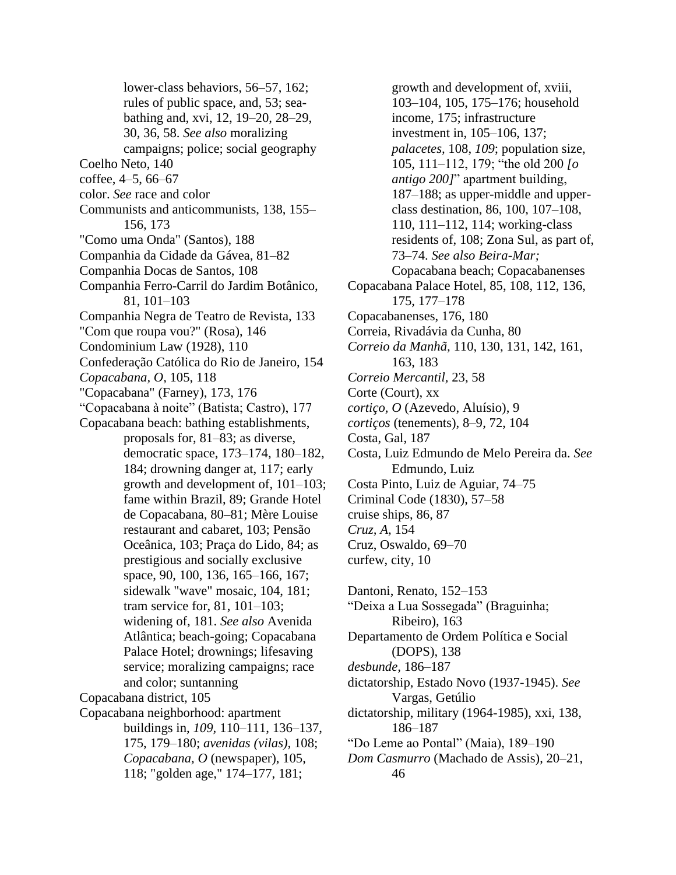lower-class behaviors, 56–57, 162; rules of public space, and, 53; seabathing and, xvi, 12, 19–20, 28–29, 30, 36, 58. *See also* moralizing campaigns; police; social geography Coelho Neto, 140 coffee, 4–5, 66–67 color. *See* race and color Communists and anticommunists, 138, 155– 156, 173 "Como uma Onda" (Santos), 188 Companhia da Cidade da Gávea, 81–82 Companhia Docas de Santos, 108 Companhia Ferro-Carril do Jardim Botânico, 81, 101–103 Companhia Negra de Teatro de Revista, 133 "Com que roupa vou?" (Rosa), 146 Condominium Law (1928), 110 Confederação Católica do Rio de Janeiro, 154 *Copacabana, O,* 105, 118 "Copacabana" (Farney), 173, 176 "Copacabana à noite" (Batista; Castro), 177 Copacabana beach: bathing establishments, proposals for, 81–83; as diverse, democratic space, 173–174, 180–182, 184; drowning danger at, 117; early growth and development of, 101–103; fame within Brazil, 89; Grande Hotel de Copacabana, 80–81; Mère Louise restaurant and cabaret, 103; Pensão Oceânica, 103; Praça do Lido, 84; as prestigious and socially exclusive space, 90, 100, 136, 165–166, 167; sidewalk "wave" mosaic, 104, 181; tram service for, 81, 101–103; widening of, 181. *See also* Avenida Atlântica; beach-going; Copacabana Palace Hotel; drownings; lifesaving service; moralizing campaigns; race and color; suntanning Copacabana district, 105 Copacabana neighborhood: apartment buildings in, *109,* 110–111, 136–137, 175, 179–180; *avenidas (vilas),* 108; *Copacabana, O* (newspaper), 105, 118; "golden age," 174–177, 181;

growth and development of, xviii, 103–104, 105, 175–176; household income, 175; infrastructure investment in, 105–106, 137; *palacetes,* 108, *109*; population size, 105, 111–112, 179; "the old 200 *[o antigo 200]*" apartment building, 187–188; as upper-middle and upperclass destination, 86, 100, 107–108, 110, 111–112, 114; working-class residents of, 108; Zona Sul, as part of, 73–74. *See also Beira-Mar;* Copacabana beach; Copacabanenses Copacabana Palace Hotel, 85, 108, 112, 136, 175, 177–178 Copacabanenses, 176, 180 Correia, Rivadávia da Cunha, 80 *Correio da Manhã,* 110, 130, 131, 142, 161, 163, 183 *Correio Mercantil,* 23, 58 Corte (Court), xx *cortiço, O* (Azevedo, Aluísio), 9 *cortiços* (tenements), 8–9, 72, 104 Costa, Gal, 187 Costa, Luiz Edmundo de Melo Pereira da. *See* Edmundo, Luiz Costa Pinto, Luiz de Aguiar, 74–75 Criminal Code (1830), 57–58 cruise ships, 86, 87 *Cruz, A,* 154 Cruz, Oswaldo, 69–70 curfew, city, 10 Dantoni, Renato, 152–153 "Deixa a Lua Sossegada" (Braguinha; Ribeiro), 163 Departamento de Ordem Política e Social (DOPS), 138 *desbunde,* 186–187 dictatorship, Estado Novo (1937-1945). *See* Vargas, Getúlio dictatorship, military (1964-1985), xxi, 138, 186–187 "Do Leme ao Pontal" (Maia), 189–190 *Dom Casmurro* (Machado de Assis), 20–21,

46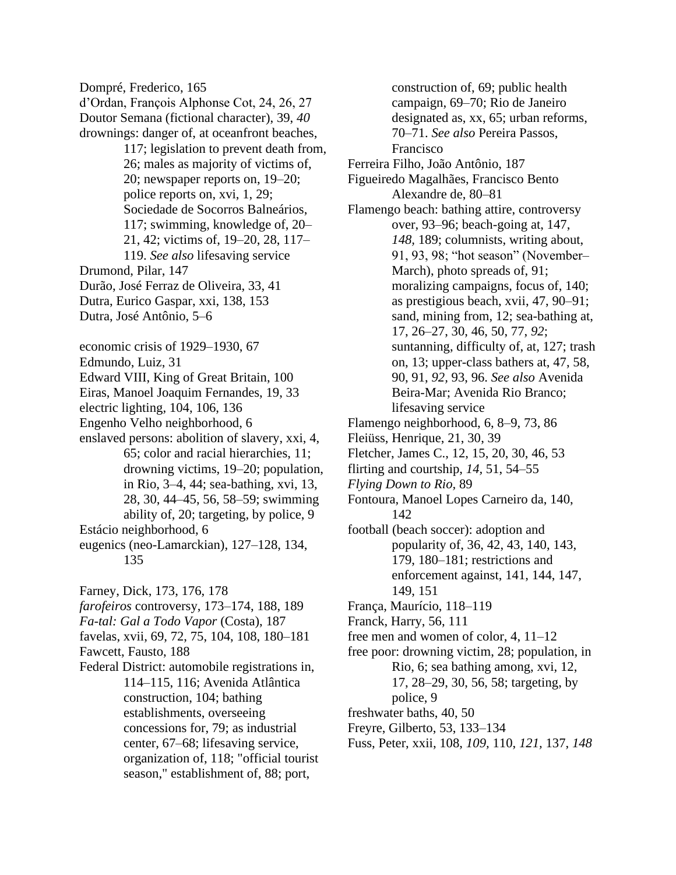Dompré, Frederico, 165 d'Ordan, François Alphonse Cot, 24, 26, 27 Doutor Semana (fictional character), 39, *40* drownings: danger of, at oceanfront beaches, 117; legislation to prevent death from, 26; males as majority of victims of, 20; newspaper reports on, 19–20; police reports on, xvi, 1, 29; Sociedade de Socorros Balneários, 117; swimming, knowledge of, 20– 21, 42; victims of, 19–20, 28, 117– 119. *See also* lifesaving service Drumond, Pilar, 147 Durão, José Ferraz de Oliveira, 33, 41 Dutra, Eurico Gaspar, xxi, 138, 153 Dutra, José Antônio, 5–6 economic crisis of 1929–1930, 67 Edmundo, Luiz, 31 Edward VIII, King of Great Britain, 100 Eiras, Manoel Joaquim Fernandes, 19, 33 electric lighting, 104, 106, 136 Engenho Velho neighborhood, 6 enslaved persons: abolition of slavery, xxi, 4, 65; color and racial hierarchies, 11; drowning victims, 19–20; population, in Rio, 3–4, 44; sea-bathing, xvi, 13, 28, 30, 44–45, 56, 58–59; swimming ability of, 20; targeting, by police, 9 Estácio neighborhood, 6 eugenics (neo-Lamarckian), 127–128, 134, 135 Farney, Dick, 173, 176, 178 *farofeiros* controversy, 173–174, 188, 189 *Fa-tal: Gal a Todo Vapor* (Costa), 187 favelas, xvii, 69, 72, 75, 104, 108, 180–181 Fawcett, Fausto, 188 Federal District: automobile registrations in, 114–115, 116; Avenida Atlântica construction, 104; bathing establishments, overseeing concessions for, 79; as industrial center, 67–68; lifesaving service, organization of, 118; "official tourist season," establishment of, 88; port,

construction of, 69; public health campaign, 69–70; Rio de Janeiro designated as, xx, 65; urban reforms, 70–71. *See also* Pereira Passos, Francisco

Ferreira Filho, João Antônio, 187

Figueiredo Magalhães, Francisco Bento Alexandre de, 80–81

- Flamengo beach: bathing attire, controversy over, 93–96; beach-going at, 147, *148,* 189; columnists, writing about, 91, 93, 98; "hot season" (November– March), photo spreads of, 91; moralizing campaigns, focus of, 140; as prestigious beach, xvii, 47, 90–91; sand, mining from, 12; sea-bathing at, 17, 26–27, 30, 46, 50, 77, *92*; suntanning, difficulty of, at, 127; trash on, 13; upper-class bathers at, 47, 58, 90, 91, *92,* 93, 96. *See also* Avenida Beira-Mar; Avenida Rio Branco; lifesaving service
- Flamengo neighborhood, 6, 8–9, 73, 86
- Fleiüss, Henrique, 21, 30, 39
- Fletcher, James C., 12, 15, 20, 30, 46, 53
- flirting and courtship, *14,* 51, 54–55
- *Flying Down to Rio,* 89
- Fontoura, Manoel Lopes Carneiro da, 140, 142
- football (beach soccer): adoption and popularity of, 36, 42, 43, 140, 143, 179, 180–181; restrictions and enforcement against, 141, 144, 147, 149, 151
- França, Maurício, 118–119
- Franck, Harry, 56, 111
- free men and women of color, 4, 11–12
- free poor: drowning victim, 28; population, in Rio, 6; sea bathing among, xvi, 12, 17, 28–29, 30, 56, 58; targeting, by police, 9
- freshwater baths, 40, 50
- Freyre, Gilberto, 53, 133–134
- Fuss, Peter, xxii, 108, *109,* 110, *121,* 137, *148*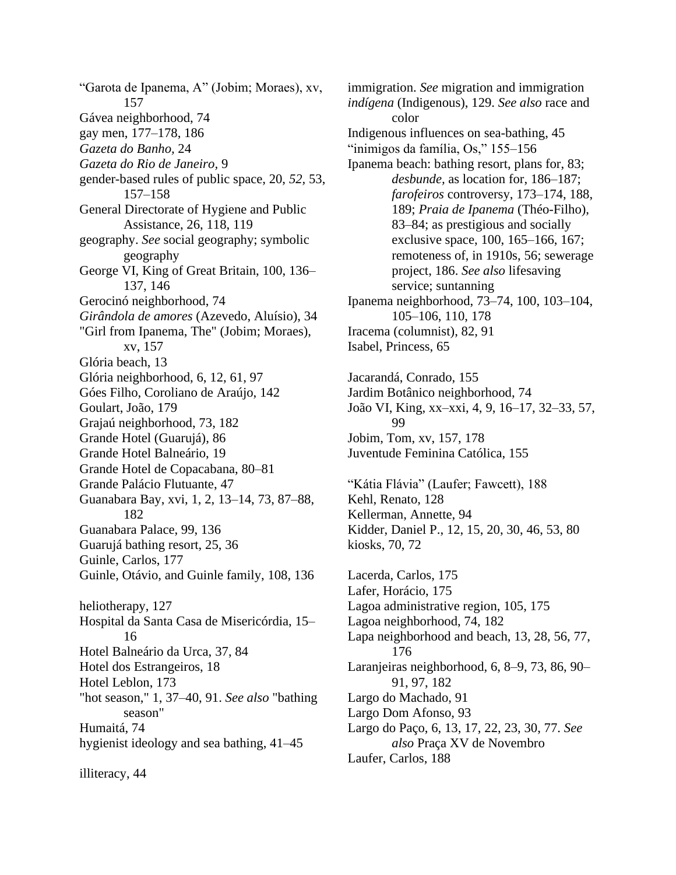"Garota de Ipanema, A" (Jobim; Moraes), xv, 157 Gávea neighborhood, 74 gay men, 177–178, 186 *Gazeta do Banho,* 24 *Gazeta do Rio de Janeiro,* 9 gender-based rules of public space, 20, *52,* 53, 157–158 General Directorate of Hygiene and Public Assistance, 26, 118, 119 geography. *See* social geography; symbolic geography George VI, King of Great Britain, 100, 136– 137, 146 Gerocinó neighborhood, 74 *Girândola de amores* (Azevedo, Aluísio), 34 "Girl from Ipanema, The" (Jobim; Moraes), xv, 157 Glória beach, 13 Glória neighborhood, 6, 12, 61, 97 Góes Filho, Coroliano de Araújo, 142 Goulart, João, 179 Grajaú neighborhood, 73, 182 Grande Hotel (Guarujá), 86 Grande Hotel Balneário, 19 Grande Hotel de Copacabana, 80–81 Grande Palácio Flutuante, 47 Guanabara Bay, xvi, 1, 2, 13–14, 73, 87–88, 182 Guanabara Palace, 99, 136 Guarujá bathing resort, 25, 36 Guinle, Carlos, 177 Guinle, Otávio, and Guinle family, 108, 136 heliotherapy, 127 Hospital da Santa Casa de Misericórdia, 15– 16 Hotel Balneário da Urca, 37, 84 Hotel dos Estrangeiros, 18 Hotel Leblon, 173 "hot season," 1, 37–40, 91. *See also* "bathing season" Humaitá, 74 hygienist ideology and sea bathing, 41–45

immigration. *See* migration and immigration *indígena* (Indigenous), 129. *See also* race and color Indigenous influences on sea-bathing, 45 "inimigos da família, Os," 155–156 Ipanema beach: bathing resort, plans for, 83; *desbunde,* as location for, 186–187; *farofeiros* controversy, 173–174, 188, 189; *Praia de Ipanema* (Théo-Filho), 83–84; as prestigious and socially exclusive space, 100, 165–166, 167; remoteness of, in 1910s, 56; sewerage project, 186. *See also* lifesaving service; suntanning Ipanema neighborhood, 73–74, 100, 103–104, 105–106, 110, 178 Iracema (columnist), 82, 91 Isabel, Princess, 65 Jacarandá, Conrado, 155 Jardim Botânico neighborhood, 74 João VI, King, xx–xxi, 4, 9, 16–17, 32–33, 57, 99 Jobim, Tom, xv, 157, 178 Juventude Feminina Católica, 155 "Kátia Flávia" (Laufer; Fawcett), 188 Kehl, Renato, 128 Kellerman, Annette, 94 Kidder, Daniel P., 12, 15, 20, 30, 46, 53, 80 kiosks, 70, 72 Lacerda, Carlos, 175 Lafer, Horácio, 175 Lagoa administrative region, 105, 175 Lagoa neighborhood, 74, 182 Lapa neighborhood and beach, 13, 28, 56, 77,

Laranjeiras neighborhood, 6, 8–9, 73, 86, 90–

Largo do Paço, 6, 13, 17, 22, 23, 30, 77. *See also* Praça XV de Novembro

176

Laufer, Carlos, 188

91, 97, 182 Largo do Machado, 91 Largo Dom Afonso, 93

illiteracy, 44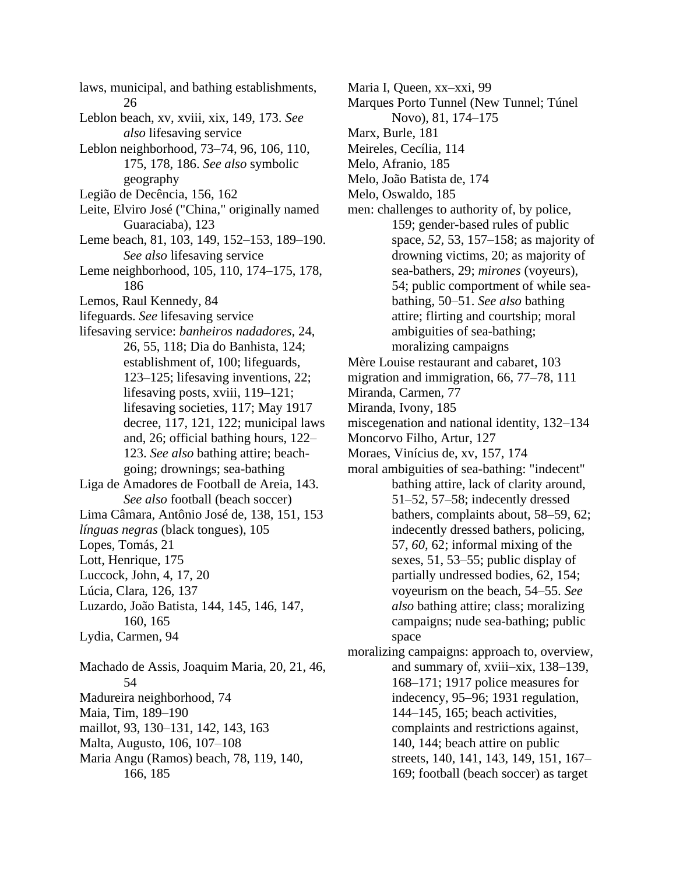laws, municipal, and bathing establishments, 26 Leblon beach, xv, xviii, xix, 149, 173. *See also* lifesaving service Leblon neighborhood, 73–74, 96, 106, 110, 175, 178, 186. *See also* symbolic geography Legião de Decência, 156, 162 Leite, Elviro José ("China," originally named Guaraciaba), 123 Leme beach, 81, 103, 149, 152–153, 189–190. *See also* lifesaving service Leme neighborhood, 105, 110, 174–175, 178, 186 Lemos, Raul Kennedy, 84 lifeguards. *See* lifesaving service lifesaving service: *banheiros nadadores,* 24, 26, 55, 118; Dia do Banhista, 124; establishment of, 100; lifeguards, 123–125; lifesaving inventions, 22; lifesaving posts, xviii, 119–121; lifesaving societies, 117; May 1917 decree, 117, 121, 122; municipal laws and, 26; official bathing hours, 122– 123. *See also* bathing attire; beachgoing; drownings; sea-bathing Liga de Amadores de Football de Areia, 143. *See also* football (beach soccer) Lima Câmara, Antônio José de, 138, 151, 153 *línguas negras* (black tongues), 105 Lopes, Tomás, 21 Lott, Henrique, 175 Luccock, John, 4, 17, 20 Lúcia, Clara, 126, 137 Luzardo, João Batista, 144, 145, 146, 147, 160, 165 Lydia, Carmen, 94 Machado de Assis, Joaquim Maria, 20, 21, 46, 54 Madureira neighborhood, 74 Maia, Tim, 189–190 maillot, 93, 130–131, 142, 143, 163 Malta, Augusto, 106, 107–108 Maria Angu (Ramos) beach, 78, 119, 140, 166, 185

Maria I, Queen, xx–xxi, 99

- Marques Porto Tunnel (New Tunnel; Túnel Novo), 81, 174–175
- Marx, Burle, 181
- Meireles, Cecília, 114
- Melo, Afranio, 185
- Melo, João Batista de, 174
- Melo, Oswaldo, 185
- men: challenges to authority of, by police, 159; gender-based rules of public space, *52,* 53, 157–158; as majority of drowning victims, 20; as majority of sea-bathers, 29; *mirones* (voyeurs), 54; public comportment of while seabathing, 50–51. *See also* bathing attire; flirting and courtship; moral ambiguities of sea-bathing; moralizing campaigns
- Mère Louise restaurant and cabaret, 103
- migration and immigration, 66, 77–78, 111
- Miranda, Carmen, 77
- Miranda, Ivony, 185
- miscegenation and national identity, 132–134
- Moncorvo Filho, Artur, 127
- Moraes, Vinícius de, xv, 157, 174
- moral ambiguities of sea-bathing: "indecent" bathing attire, lack of clarity around, 51–52, 57–58; indecently dressed bathers, complaints about, 58–59, 62; indecently dressed bathers, policing, 57, *60,* 62; informal mixing of the sexes, 51, 53–55; public display of partially undressed bodies, 62, 154; voyeurism on the beach, 54–55. *See also* bathing attire; class; moralizing campaigns; nude sea-bathing; public space
- moralizing campaigns: approach to, overview, and summary of, xviii–xix, 138–139, 168–171; 1917 police measures for indecency, 95–96; 1931 regulation, 144–145, 165; beach activities, complaints and restrictions against, 140, 144; beach attire on public streets, 140, 141, 143, 149, 151, 167– 169; football (beach soccer) as target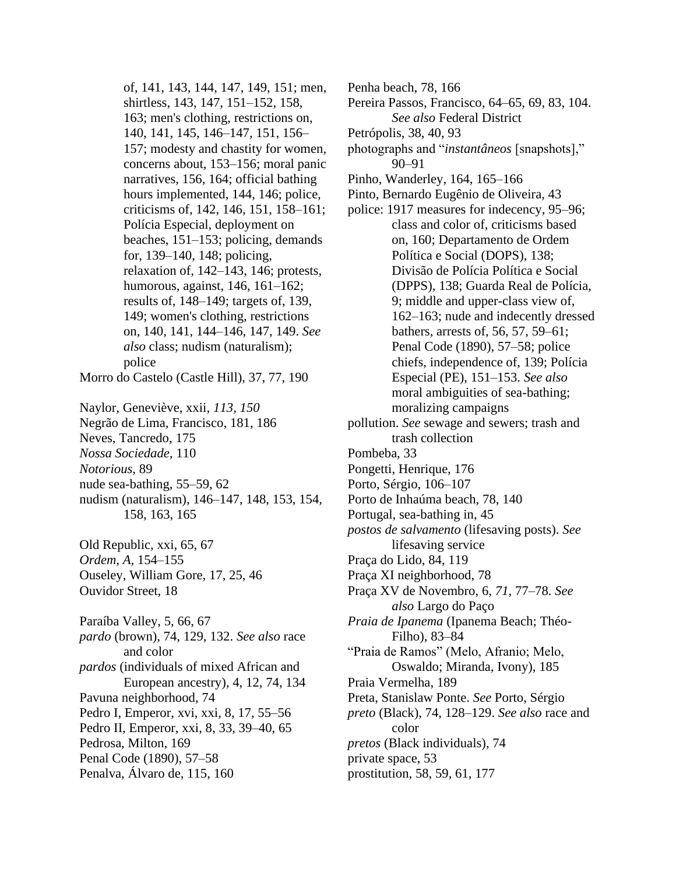of, 141, 143, 144, 147, 149, 151; men, shirtless, 143, 147, 151–152, 158, 163; men's clothing, restrictions on, 140, 141, 145, 146–147, 151, 156– 157; modesty and chastity for women, concerns about, 153–156; moral panic narratives, 156, 164; official bathing hours implemented, 144, 146; police, criticisms of, 142, 146, 151, 158–161; Polícia Especial, deployment on beaches, 151–153; policing, demands for, 139–140, 148; policing, relaxation of, 142–143, 146; protests, humorous, against, 146, 161–162; results of, 148–149; targets of, 139, 149; women's clothing, restrictions on, 140, 141, 144–146, 147, 149. *See also* class; nudism (naturalism); police Morro do Castelo (Castle Hill), 37, 77, 190 Naylor, Geneviève, xxii, *113, 150* Negrão de Lima, Francisco, 181, 186 Neves, Tancredo, 175 *Nossa Sociedade,* 110 *Notorious,* 89 nude sea-bathing, 55–59, 62 nudism (naturalism), 146–147, 148, 153, 154, 158, 163, 165 Old Republic, xxi, 65, 67 *Ordem, A,* 154–155 Ouseley, William Gore, 17, 25, 46 Ouvidor Street, 18 Paraíba Valley, 5, 66, 67 *pardo* (brown), 74, 129, 132. *See also* race and color *pardos* (individuals of mixed African and European ancestry), 4, 12, 74, 134 Pavuna neighborhood, 74 Pedro I, Emperor, xvi, xxi, 8, 17, 55–56 Pedro II, Emperor, xxi, 8, 33, 39–40, 65 Pedrosa, Milton, 169 Penal Code (1890), 57–58

Penalva, Álvaro de, 115, 160

Penha beach, 78, 166

- Pereira Passos, Francisco, 64–65, 69, 83, 104. *See also* Federal District
- Petrópolis, 38, 40, 93
- photographs and "*instantâneos* [snapshots]," 90–91
- Pinho, Wanderley, 164, 165–166
- Pinto, Bernardo Eugênio de Oliveira, 43
- police: 1917 measures for indecency, 95–96; class and color of, criticisms based on, 160; Departamento de Ordem Política e Social (DOPS), 138; Divisão de Polícia Política e Social (DPPS), 138; Guarda Real de Polícia, 9; middle and upper-class view of, 162–163; nude and indecently dressed bathers, arrests of, 56, 57, 59–61; Penal Code (1890), 57–58; police chiefs, independence of, 139; Polícia Especial (PE), 151–153. *See also* moral ambiguities of sea-bathing; moralizing campaigns
- pollution. *See* sewage and sewers; trash and trash collection
- Pombeba, 33
- Pongetti, Henrique, 176
- Porto, Sérgio, 106–107
- Porto de Inhaúma beach, 78, 140
- Portugal, sea-bathing in, 45
- *postos de salvamento* (lifesaving posts). *See* lifesaving service
- Praça do Lido, 84, 119
- Praça XI neighborhood, 78
- Praça XV de Novembro, 6, *71,* 77–78. *See also* Largo do Paço

*Praia de Ipanema* (Ipanema Beach; Théo-Filho), 83–84

- "Praia de Ramos" (Melo, Afranio; Melo, Oswaldo; Miranda, Ivony), 185
- Praia Vermelha, 189
- Preta, Stanislaw Ponte. *See* Porto, Sérgio
- *preto* (Black), 74, 128–129. *See also* race and color
- *pretos* (Black individuals), 74
- private space, 53
- prostitution, 58, 59, 61, 177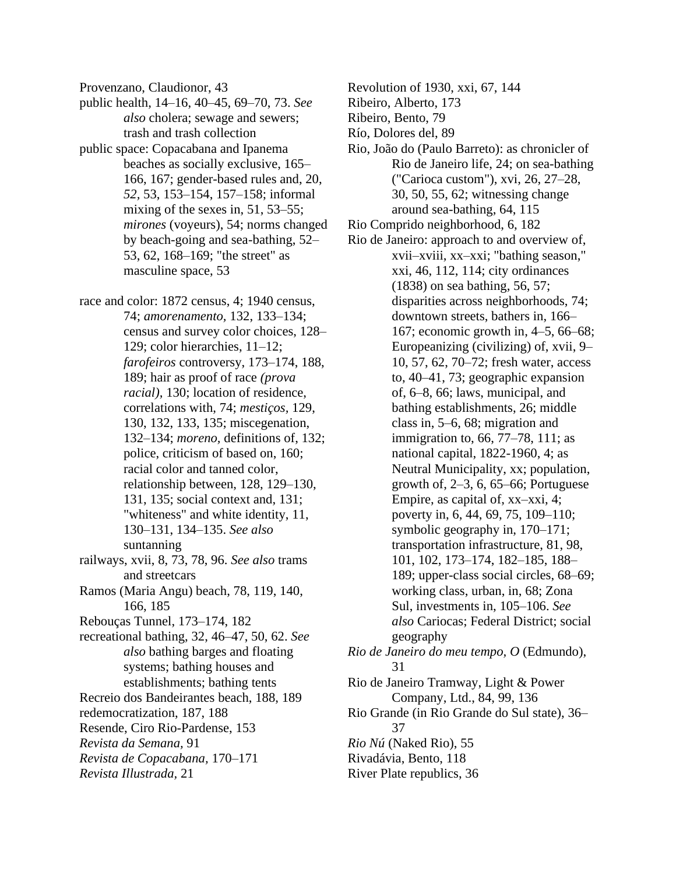Provenzano, Claudionor, 43

- public health, 14–16, 40–45, 69–70, 73. *See also* cholera; sewage and sewers; trash and trash collection
- public space: Copacabana and Ipanema beaches as socially exclusive, 165– 166, 167; gender-based rules and, 20, *52,* 53, 153–154, 157–158; informal mixing of the sexes in, 51, 53–55; *mirones* (voyeurs), 54; norms changed by beach-going and sea-bathing, 52– 53, 62, 168–169; "the street" as masculine space, 53
- race and color: 1872 census, 4; 1940 census, 74; *amorenamento,* 132, 133–134; census and survey color choices, 128– 129; color hierarchies, 11–12; *farofeiros* controversy, 173–174, 188, 189; hair as proof of race *(prova racial),* 130; location of residence, correlations with, 74; *mestiços,* 129, 130, 132, 133, 135; miscegenation, 132–134; *moreno,* definitions of, 132; police, criticism of based on, 160; racial color and tanned color, relationship between, 128, 129–130, 131, 135; social context and, 131; "whiteness" and white identity, 11, 130–131, 134–135. *See also* suntanning railways, xvii, 8, 73, 78, 96. *See also* trams and streetcars Ramos (Maria Angu) beach, 78, 119, 140, 166, 185 Rebouças Tunnel, 173–174, 182 recreational bathing, 32, 46–47, 50, 62. *See also* bathing barges and floating
- systems; bathing houses and establishments; bathing tents Recreio dos Bandeirantes beach, 188, 189 redemocratization, 187, 188 Resende, Ciro Rio-Pardense, 153 *Revista da Semana,* 91 *Revista de Copacabana,* 170–171
- *Revista Illustrada,* 21
- Revolution of 1930, xxi, 67, 144
- Ribeiro, Alberto, 173
- Ribeiro, Bento, 79
- Río, Dolores del, 89
- Rio, João do (Paulo Barreto): as chronicler of Rio de Janeiro life, 24; on sea-bathing ("Carioca custom"), xvi, 26, 27–28, 30, 50, 55, 62; witnessing change around sea-bathing, 64, 115
- Rio Comprido neighborhood, 6, 182
- Rio de Janeiro: approach to and overview of, xvii–xviii, xx–xxi; "bathing season," xxi, 46, 112, 114; city ordinances (1838) on sea bathing, 56, 57; disparities across neighborhoods, 74; downtown streets, bathers in, 166– 167; economic growth in, 4–5, 66–68; Europeanizing (civilizing) of, xvii, 9– 10, 57, 62, 70–72; fresh water, access to, 40–41, 73; geographic expansion of, 6–8, 66; laws, municipal, and bathing establishments, 26; middle class in, 5–6, 68; migration and immigration to, 66, 77–78, 111; as national capital, 1822-1960, 4; as Neutral Municipality, xx; population, growth of, 2–3, 6, 65–66; Portuguese Empire, as capital of, xx–xxi, 4; poverty in, 6, 44, 69, 75, 109–110; symbolic geography in, 170–171; transportation infrastructure, 81, 98, 101, 102, 173–174, 182–185, 188– 189; upper-class social circles, 68–69; working class, urban, in, 68; Zona Sul, investments in, 105–106. *See also* Cariocas; Federal District; social geography *Rio de Janeiro do meu tempo, O* (Edmundo), 31 Rio de Janeiro Tramway, Light & Power Company, Ltd., 84, 99, 136 Rio Grande (in Rio Grande do Sul state), 36– 37
- *Rio Nú* (Naked Rio), 55
- Rivadávia, Bento, 118
- River Plate republics, 36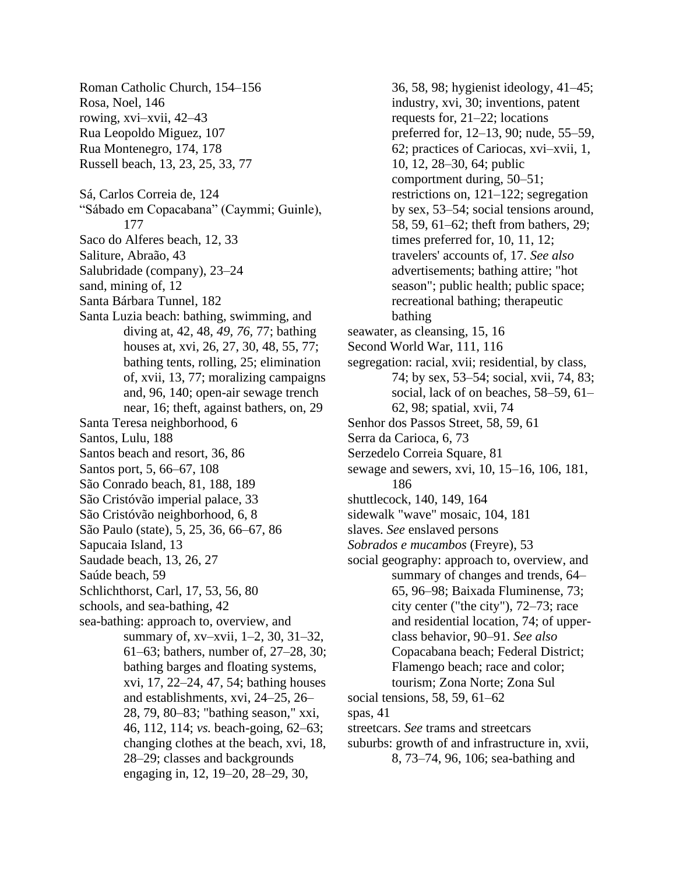Roman Catholic Church, 154–156 Rosa, Noel, 146 rowing, xvi–xvii, 42–43 Rua Leopoldo Miguez, 107 Rua Montenegro, 174, 178 Russell beach, 13, 23, 25, 33, 77 Sá, Carlos Correia de, 124 "Sábado em Copacabana" (Caymmi; Guinle), 177 Saco do Alferes beach, 12, 33 Saliture, Abraão, 43 Salubridade (company), 23–24 sand, mining of, 12 Santa Bárbara Tunnel, 182 Santa Luzia beach: bathing, swimming, and diving at, 42, 48, *49, 76,* 77; bathing houses at, xvi, 26, 27, 30, 48, 55, 77; bathing tents, rolling, 25; elimination of, xvii, 13, 77; moralizing campaigns and, 96, 140; open-air sewage trench near, 16; theft, against bathers, on, 29 Santa Teresa neighborhood, 6 Santos, Lulu, 188 Santos beach and resort, 36, 86 Santos port, 5, 66–67, 108 São Conrado beach, 81, 188, 189 São Cristóvão imperial palace, 33 São Cristóvão neighborhood, 6, 8 São Paulo (state), 5, 25, 36, 66–67, 86 Sapucaia Island, 13 Saudade beach, 13, 26, 27 Saúde beach, 59 Schlichthorst, Carl, 17, 53, 56, 80 schools, and sea-bathing, 42 sea-bathing: approach to, overview, and summary of, xv–xvii, 1–2, 30, 31–32, 61–63; bathers, number of, 27–28, 30; bathing barges and floating systems, xvi, 17, 22–24, 47, 54; bathing houses and establishments, xvi, 24–25, 26– 28, 79, 80–83; "bathing season," xxi, 46, 112, 114; *vs.* beach-going, 62–63; changing clothes at the beach, xvi, 18, 28–29; classes and backgrounds engaging in, 12, 19–20, 28–29, 30,

36, 58, 98; hygienist ideology, 41–45; industry, xvi, 30; inventions, patent requests for, 21–22; locations preferred for, 12–13, 90; nude, 55–59, 62; practices of Cariocas, xvi–xvii, 1, 10, 12, 28–30, 64; public comportment during, 50–51; restrictions on, 121–122; segregation by sex, 53–54; social tensions around, 58, 59, 61–62; theft from bathers, 29; times preferred for, 10, 11, 12; travelers' accounts of, 17. *See also* advertisements; bathing attire; "hot season"; public health; public space; recreational bathing; therapeutic bathing seawater, as cleansing, 15, 16 Second World War, 111, 116 segregation: racial, xvii; residential, by class, 74; by sex, 53–54; social, xvii, 74, 83; social, lack of on beaches, 58–59, 61– 62, 98; spatial, xvii, 74 Senhor dos Passos Street, 58, 59, 61 Serra da Carioca, 6, 73 Serzedelo Correia Square, 81 sewage and sewers, xvi, 10, 15–16, 106, 181, 186 shuttlecock, 140, 149, 164 sidewalk "wave" mosaic, 104, 181 slaves. *See* enslaved persons *Sobrados e mucambos* (Freyre), 53 social geography: approach to, overview, and summary of changes and trends, 64– 65, 96–98; Baixada Fluminense, 73; city center ("the city"), 72–73; race and residential location, 74; of upperclass behavior, 90–91. *See also* Copacabana beach; Federal District; Flamengo beach; race and color; tourism; Zona Norte; Zona Sul social tensions, 58, 59, 61–62 spas, 41 streetcars. *See* trams and streetcars suburbs: growth of and infrastructure in, xvii, 8, 73–74, 96, 106; sea-bathing and